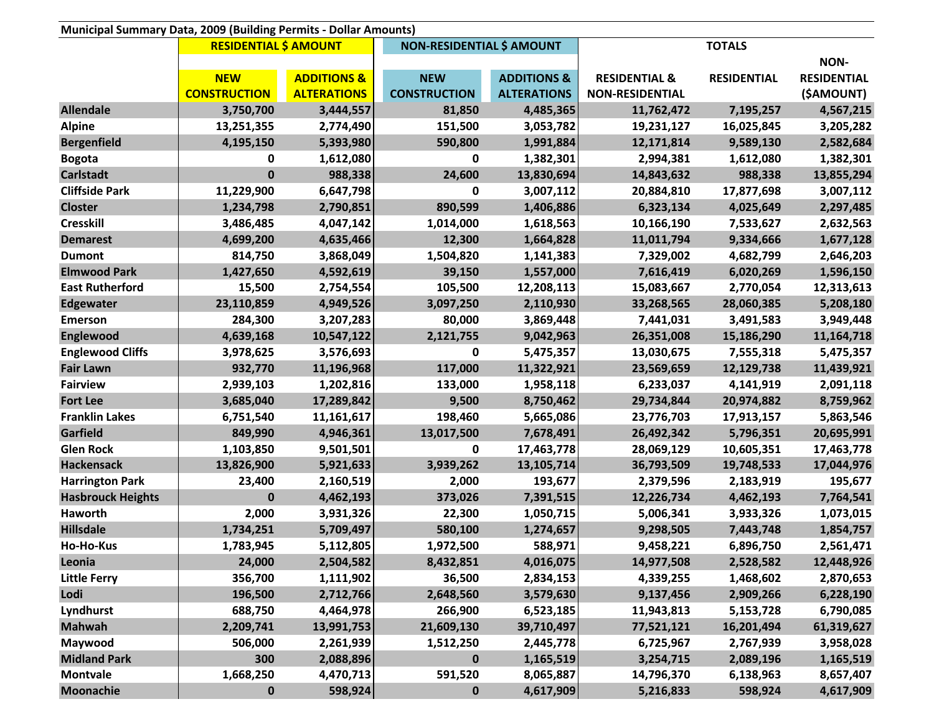| Municipal Summary Data, 2009 (Building Permits - Dollar Amounts) |                              |                        |                                  |                        |                          |                    |                    |
|------------------------------------------------------------------|------------------------------|------------------------|----------------------------------|------------------------|--------------------------|--------------------|--------------------|
|                                                                  | <b>RESIDENTIAL \$ AMOUNT</b> |                        | <b>NON-RESIDENTIAL \$ AMOUNT</b> |                        |                          |                    |                    |
|                                                                  |                              |                        |                                  |                        |                          |                    | <b>NON-</b>        |
|                                                                  | <b>NEW</b>                   | <b>ADDITIONS &amp;</b> | <b>NEW</b>                       | <b>ADDITIONS &amp;</b> | <b>RESIDENTIAL &amp;</b> | <b>RESIDENTIAL</b> | <b>RESIDENTIAL</b> |
|                                                                  | <b>CONSTRUCTION</b>          | <b>ALTERATIONS</b>     | <b>CONSTRUCTION</b>              | <b>ALTERATIONS</b>     | <b>NON-RESIDENTIAL</b>   |                    | (\$AMOUNT)         |
| <b>Allendale</b>                                                 | 3,750,700                    | 3,444,557              | 81,850                           | 4,485,365              | 11,762,472               | 7,195,257          | 4,567,215          |
| <b>Alpine</b>                                                    | 13,251,355                   | 2,774,490              | 151,500                          | 3,053,782              | 19,231,127               | 16,025,845         | 3,205,282          |
| <b>Bergenfield</b>                                               | 4,195,150                    | 5,393,980              | 590,800                          | 1,991,884              | 12,171,814               | 9,589,130          | 2,582,684          |
| <b>Bogota</b>                                                    | 0                            | 1,612,080              | 0                                | 1,382,301              | 2,994,381                | 1,612,080          | 1,382,301          |
| <b>Carlstadt</b>                                                 | $\bf{0}$                     | 988,338                | 24,600                           | 13,830,694             | 14,843,632               | 988,338            | 13,855,294         |
| <b>Cliffside Park</b>                                            | 11,229,900                   | 6,647,798              | 0                                | 3,007,112              | 20,884,810               | 17,877,698         | 3,007,112          |
| <b>Closter</b>                                                   | 1,234,798                    | 2,790,851              | 890,599                          | 1,406,886              | 6,323,134                | 4,025,649          | 2,297,485          |
| <b>Cresskill</b>                                                 | 3,486,485                    | 4,047,142              | 1,014,000                        | 1,618,563              | 10,166,190               | 7,533,627          | 2,632,563          |
| <b>Demarest</b>                                                  | 4,699,200                    | 4,635,466              | 12,300                           | 1,664,828              | 11,011,794               | 9,334,666          | 1,677,128          |
| <b>Dumont</b>                                                    | 814,750                      | 3,868,049              | 1,504,820                        | 1,141,383              | 7,329,002                | 4,682,799          | 2,646,203          |
| <b>Elmwood Park</b>                                              | 1,427,650                    | 4,592,619              | 39,150                           | 1,557,000              | 7,616,419                | 6,020,269          | 1,596,150          |
| <b>East Rutherford</b>                                           | 15,500                       | 2,754,554              | 105,500                          | 12,208,113             | 15,083,667               | 2,770,054          | 12,313,613         |
| <b>Edgewater</b>                                                 | 23,110,859                   | 4,949,526              | 3,097,250                        | 2,110,930              | 33,268,565               | 28,060,385         | 5,208,180          |
| <b>Emerson</b>                                                   | 284,300                      | 3,207,283              | 80,000                           | 3,869,448              | 7,441,031                | 3,491,583          | 3,949,448          |
| <b>Englewood</b>                                                 | 4,639,168                    | 10,547,122             | 2,121,755                        | 9,042,963              | 26,351,008               | 15,186,290         | 11,164,718         |
| <b>Englewood Cliffs</b>                                          | 3,978,625                    | 3,576,693              | $\mathbf 0$                      | 5,475,357              | 13,030,675               | 7,555,318          | 5,475,357          |
| <b>Fair Lawn</b>                                                 | 932,770                      | 11,196,968             | 117,000                          | 11,322,921             | 23,569,659               | 12,129,738         | 11,439,921         |
| <b>Fairview</b>                                                  | 2,939,103                    | 1,202,816              | 133,000                          | 1,958,118              | 6,233,037                | 4,141,919          | 2,091,118          |
| <b>Fort Lee</b>                                                  | 3,685,040                    | 17,289,842             | 9,500                            | 8,750,462              | 29,734,844               | 20,974,882         | 8,759,962          |
| <b>Franklin Lakes</b>                                            | 6,751,540                    | 11,161,617             | 198,460                          | 5,665,086              | 23,776,703               | 17,913,157         | 5,863,546          |
| Garfield                                                         | 849,990                      | 4,946,361              | 13,017,500                       | 7,678,491              | 26,492,342               | 5,796,351          | 20,695,991         |
| <b>Glen Rock</b>                                                 | 1,103,850                    | 9,501,501              | 0                                | 17,463,778             | 28,069,129               | 10,605,351         | 17,463,778         |
| <b>Hackensack</b>                                                | 13,826,900                   | 5,921,633              | 3,939,262                        | 13,105,714             | 36,793,509               | 19,748,533         | 17,044,976         |
| <b>Harrington Park</b>                                           | 23,400                       | 2,160,519              | 2,000                            | 193,677                | 2,379,596                | 2,183,919          | 195,677            |
| <b>Hasbrouck Heights</b>                                         | $\bf{0}$                     | 4,462,193              | 373,026                          | 7,391,515              | 12,226,734               | 4,462,193          | 7,764,541          |
| Haworth                                                          | 2,000                        | 3,931,326              | 22,300                           | 1,050,715              | 5,006,341                | 3,933,326          | 1,073,015          |
| <b>Hillsdale</b>                                                 | 1,734,251                    | 5,709,497              | 580,100                          | 1,274,657              | 9,298,505                | 7,443,748          | 1,854,757          |
| Ho-Ho-Kus                                                        | 1,783,945                    | 5,112,805              | 1,972,500                        | 588,971                | 9,458,221                | 6,896,750          | 2,561,471          |
| Leonia                                                           | 24,000                       | 2,504,582              | 8,432,851                        | 4,016,075              | 14,977,508               | 2,528,582          | 12,448,926         |
| <b>Little Ferry</b>                                              | 356,700                      | 1,111,902              | 36,500                           | 2,834,153              | 4,339,255                | 1,468,602          | 2,870,653          |
| Lodi                                                             | 196,500                      | 2,712,766              | 2,648,560                        | 3,579,630              | 9,137,456                | 2,909,266          | 6,228,190          |
| Lyndhurst                                                        | 688,750                      | 4,464,978              | 266,900                          | 6,523,185              | 11,943,813               | 5,153,728          | 6,790,085          |
| <b>Mahwah</b>                                                    | 2,209,741                    | 13,991,753             | 21,609,130                       | 39,710,497             | 77,521,121               | 16,201,494         | 61,319,627         |
| Maywood                                                          | 506,000                      | 2,261,939              | 1,512,250                        | 2,445,778              | 6,725,967                | 2,767,939          | 3,958,028          |
| <b>Midland Park</b>                                              | 300                          | 2,088,896              | $\mathbf 0$                      | 1,165,519              | 3,254,715                | 2,089,196          | 1,165,519          |
| <b>Montvale</b>                                                  | 1,668,250                    | 4,470,713              | 591,520                          | 8,065,887              | 14,796,370               | 6,138,963          | 8,657,407          |
| <b>Moonachie</b>                                                 | $\bf{0}$                     | 598,924                | 0                                | 4,617,909              | 5,216,833                | 598,924            | 4,617,909          |